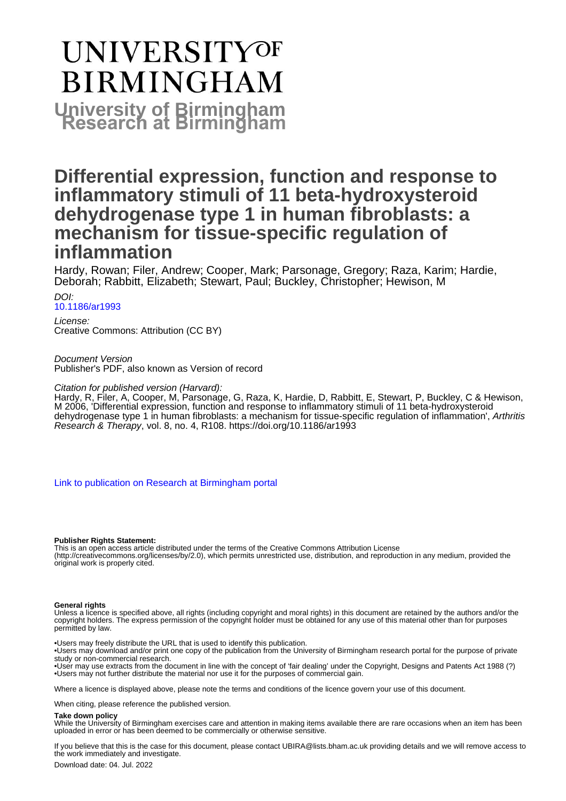# **UNIVERSITYOF BIRMINGHAM University of Birmingham**

# **Differential expression, function and response to inflammatory stimuli of 11 beta-hydroxysteroid dehydrogenase type 1 in human fibroblasts: a mechanism for tissue-specific regulation of inflammation**

Hardy, Rowan; Filer, Andrew; Cooper, Mark; Parsonage, Gregory; Raza, Karim; Hardie, Deborah; Rabbitt, Elizabeth; Stewart, Paul; Buckley, Christopher; Hewison, M

#### $D$

### [10.1186/ar1993](https://doi.org/10.1186/ar1993)

License: Creative Commons: Attribution (CC BY)

Document Version Publisher's PDF, also known as Version of record

#### Citation for published version (Harvard):

Hardy, R, Filer, A, Cooper, M, Parsonage, G, Raza, K, Hardie, D, Rabbitt, E, Stewart, P, Buckley, C & Hewison, M 2006, 'Differential expression, function and response to inflammatory stimuli of 11 beta-hydroxysteroid dehydrogenase type 1 in human fibroblasts: a mechanism for tissue-specific regulation of inflammation', Arthritis Research & Therapy, vol. 8, no. 4, R108. <https://doi.org/10.1186/ar1993>

[Link to publication on Research at Birmingham portal](https://birmingham.elsevierpure.com/en/publications/48bedc41-cea3-40ca-b25d-b6960aa1ad4d)

#### **Publisher Rights Statement:**

This is an open access article distributed under the terms of the Creative Commons Attribution License (http://creativecommons.org/licenses/by/2.0), which permits unrestricted use, distribution, and reproduction in any medium, provided the original work is properly cited.

#### **General rights**

Unless a licence is specified above, all rights (including copyright and moral rights) in this document are retained by the authors and/or the copyright holders. The express permission of the copyright holder must be obtained for any use of this material other than for purposes permitted by law.

- Users may freely distribute the URL that is used to identify this publication.
- • Users may download and/or print one copy of the publication from the University of Birmingham research portal for the purpose of private study or non-commercial research.
- • User may use extracts from the document in line with the concept of 'fair dealing' under the Copyright, Designs and Patents Act 1988 (?) • Users may not further distribute the material nor use it for the purposes of commercial gain.

Where a licence is displayed above, please note the terms and conditions of the licence govern your use of this document.

When citing, please reference the published version.

#### **Take down policy**

While the University of Birmingham exercises care and attention in making items available there are rare occasions when an item has been uploaded in error or has been deemed to be commercially or otherwise sensitive.

If you believe that this is the case for this document, please contact UBIRA@lists.bham.ac.uk providing details and we will remove access to the work immediately and investigate.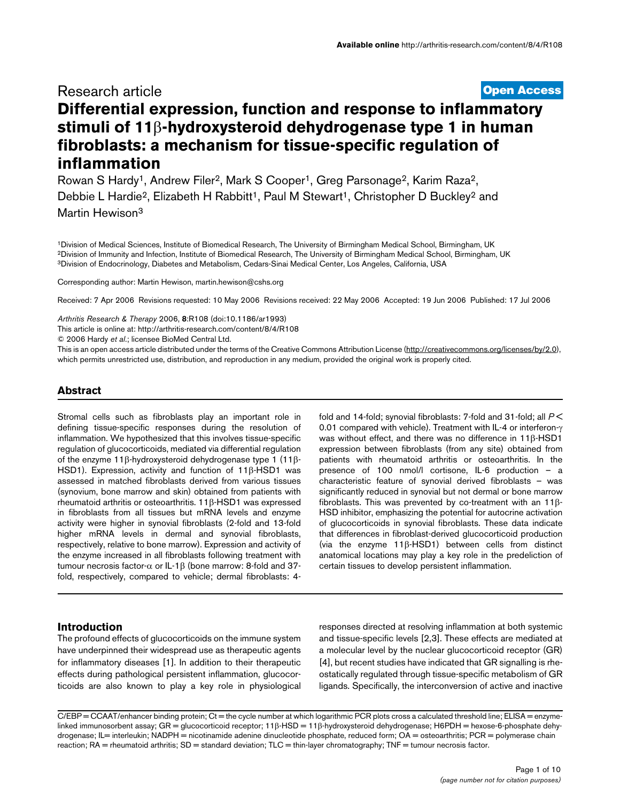# **[Open Access](http://www.biomedcentral.com/info/about/charter/)** Research article **Differential expression, function and response to inflammatory stimuli of 11**β**-hydroxysteroid dehydrogenase type 1 in human fibroblasts: a mechanism for tissue-specific regulation of inflammation**

Rowan S Hardy<sup>1</sup>, Andrew Filer<sup>2</sup>, Mark S Cooper<sup>1</sup>, Greg Parsonage<sup>2</sup>, Karim Raza<sup>2</sup>, Debbie L Hardie<sup>2</sup>, Elizabeth H Rabbitt<sup>1</sup>, Paul M Stewart<sup>1</sup>, Christopher D Buckley<sup>2</sup> and Martin Hewison3

1Division of Medical Sciences, Institute of Biomedical Research, The University of Birmingham Medical School, Birmingham, UK 2Division of Immunity and Infection, Institute of Biomedical Research, The University of Birmingham Medical School, Birmingham, UK 3Division of Endocrinology, Diabetes and Metabolism, Cedars-Sinai Medical Center, Los Angeles, California, USA

Corresponding author: Martin Hewison, martin.hewison@cshs.org

Received: 7 Apr 2006 Revisions requested: 10 May 2006 Revisions received: 22 May 2006 Accepted: 19 Jun 2006 Published: 17 Jul 2006

*Arthritis Research & Therapy* 2006, **8**:R108 (doi:10.1186/ar1993)

[This article is online at: http://arthritis-research.com/content/8/4/R108](http://arthritis-research.com/content/8/4/R108)

© 2006 Hardy *et al*.; licensee BioMed Central Ltd.

This is an open access article distributed under the terms of the Creative Commons Attribution License [\(http://creativecommons.org/licenses/by/2.0\)](http://creativecommons.org/licenses/by/2.0), which permits unrestricted use, distribution, and reproduction in any medium, provided the original work is properly cited.

#### **Abstract**

Stromal cells such as fibroblasts play an important role in defining tissue-specific responses during the resolution of inflammation. We hypothesized that this involves tissue-specific regulation of glucocorticoids, mediated via differential regulation of the enzyme 11β-hydroxysteroid dehydrogenase type 1 (11β-HSD1). Expression, activity and function of 11β-HSD1 was assessed in matched fibroblasts derived from various tissues (synovium, bone marrow and skin) obtained from patients with rheumatoid arthritis or osteoarthritis. 11β-HSD1 was expressed in fibroblasts from all tissues but mRNA levels and enzyme activity were higher in synovial fibroblasts (2-fold and 13-fold higher mRNA levels in dermal and synovial fibroblasts, respectively, relative to bone marrow). Expression and activity of the enzyme increased in all fibroblasts following treatment with tumour necrosis factor- $\alpha$  or IL-1β (bone marrow: 8-fold and 37fold, respectively, compared to vehicle; dermal fibroblasts: 4fold and 14-fold; synovial fibroblasts: 7-fold and 31-fold; all *P* < 0.01 compared with vehicle). Treatment with IL-4 or interferon-γ was without effect, and there was no difference in 11β-HSD1 expression between fibroblasts (from any site) obtained from patients with rheumatoid arthritis or osteoarthritis. In the presence of 100 nmol/l cortisone, IL-6 production – a characteristic feature of synovial derived fibroblasts – was significantly reduced in synovial but not dermal or bone marrow fibroblasts. This was prevented by co-treatment with an 11β-HSD inhibitor, emphasizing the potential for autocrine activation of glucocorticoids in synovial fibroblasts. These data indicate that differences in fibroblast-derived glucocorticoid production (via the enzyme 11β-HSD1) between cells from distinct anatomical locations may play a key role in the predeliction of certain tissues to develop persistent inflammation.

# **Introduction**

The profound effects of glucocorticoids on the immune system have underpinned their widespread use as therapeutic agents for inflammatory diseases [1]. In addition to their therapeutic effects during pathological persistent inflammation, glucocorticoids are also known to play a key role in physiological

responses directed at resolving inflammation at both systemic and tissue-specific levels [2,3]. These effects are mediated at a molecular level by the nuclear glucocorticoid receptor (GR) [4], but recent studies have indicated that GR signalling is rheostatically regulated through tissue-specific metabolism of GR ligands. Specifically, the interconversion of active and inactive

C/EBP = CCAAT/enhancer binding protein; Ct = the cycle number at which logarithmic PCR plots cross a calculated threshold line; ELISA = enzymelinked immunosorbent assay; GR = glucocorticoid receptor; 11β-HSD = 11β-hydroxysteroid dehydrogenase; H6PDH = hexose-6-phosphate dehydrogenase; IL= interleukin; NADPH = nicotinamide adenine dinucleotide phosphate, reduced form; OA = osteoarthritis; PCR = polymerase chain reaction; RA = rheumatoid arthritis; SD = standard deviation; TLC = thin-layer chromatography; TNF = tumour necrosis factor.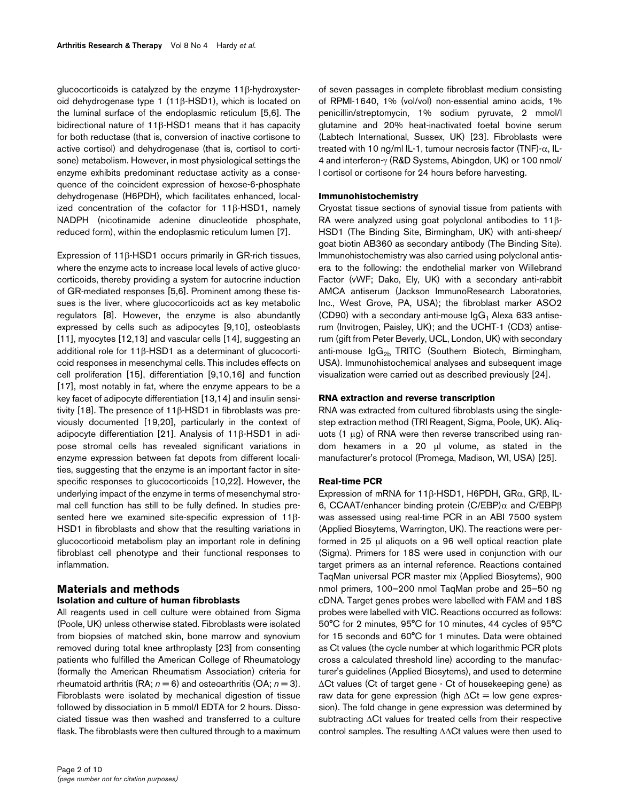glucocorticoids is catalyzed by the enzyme 11β-hydroxysteroid dehydrogenase type 1 (11β-HSD1), which is located on the luminal surface of the endoplasmic reticulum [5,6]. The bidirectional nature of 11β-HSD1 means that it has capacity for both reductase (that is, conversion of inactive cortisone to active cortisol) and dehydrogenase (that is, cortisol to cortisone) metabolism. However, in most physiological settings the enzyme exhibits predominant reductase activity as a consequence of the coincident expression of hexose-6-phosphate dehydrogenase (H6PDH), which facilitates enhanced, localized concentration of the cofactor for 11β-HSD1, namely NADPH (nicotinamide adenine dinucleotide phosphate, reduced form), within the endoplasmic reticulum lumen [7].

Expression of 11β-HSD1 occurs primarily in GR-rich tissues, where the enzyme acts to increase local levels of active glucocorticoids, thereby providing a system for autocrine induction of GR-mediated responses [5,6]. Prominent among these tissues is the liver, where glucocorticoids act as key metabolic regulators [8]. However, the enzyme is also abundantly expressed by cells such as adipocytes [9,10], osteoblasts [11], myocytes [12,13] and vascular cells [14], suggesting an additional role for 11β-HSD1 as a determinant of glucocorticoid responses in mesenchymal cells. This includes effects on cell proliferation [15], differentiation [9,10,16] and function [17], most notably in fat, where the enzyme appears to be a key facet of adipocyte differentiation [13,14] and insulin sensitivity [18]. The presence of 11β-HSD1 in fibroblasts was previously documented [19,20], particularly in the context of adipocyte differentiation [21]. Analysis of 11β-HSD1 in adipose stromal cells has revealed significant variations in enzyme expression between fat depots from different localities, suggesting that the enzyme is an important factor in sitespecific responses to glucocorticoids [10,22]. However, the underlying impact of the enzyme in terms of mesenchymal stromal cell function has still to be fully defined. In studies presented here we examined site-specific expression of 11β-HSD1 in fibroblasts and show that the resulting variations in glucocorticoid metabolism play an important role in defining fibroblast cell phenotype and their functional responses to inflammation.

# **Materials and methods**

# **Isolation and culture of human fibroblasts**

All reagents used in cell culture were obtained from Sigma (Poole, UK) unless otherwise stated. Fibroblasts were isolated from biopsies of matched skin, bone marrow and synovium removed during total knee arthroplasty [23] from consenting patients who fulfilled the American College of Rheumatology (formally the American Rheumatism Association) criteria for rheumatoid arthritis (RA;  $n = 6$ ) and osteoarthritis (OA;  $n = 3$ ). Fibroblasts were isolated by mechanical digestion of tissue followed by dissociation in 5 mmol/l EDTA for 2 hours. Dissociated tissue was then washed and transferred to a culture flask. The fibroblasts were then cultured through to a maximum of seven passages in complete fibroblast medium consisting of RPMI-1640, 1% (vol/vol) non-essential amino acids, 1% penicillin/streptomycin, 1% sodium pyruvate, 2 mmol/l glutamine and 20% heat-inactivated foetal bovine serum (Labtech International, Sussex, UK) [23]. Fibroblasts were treated with 10 ng/ml IL-1, tumour necrosis factor (TNF)- $\alpha$ , IL-4 and interferon-γ (R&D Systems, Abingdon, UK) or 100 nmol/ l cortisol or cortisone for 24 hours before harvesting.

#### **Immunohistochemistry**

Cryostat tissue sections of synovial tissue from patients with RA were analyzed using goat polyclonal antibodies to 11β-HSD1 (The Binding Site, Birmingham, UK) with anti-sheep/ goat biotin AB360 as secondary antibody (The Binding Site). Immunohistochemistry was also carried using polyclonal antisera to the following: the endothelial marker von Willebrand Factor (vWF; Dako, Ely, UK) with a secondary anti-rabbit AMCA antiserum (Jackson ImmunoResearch Laboratories, Inc., West Grove, PA, USA); the fibroblast marker ASO2 (CD90) with a secondary anti-mouse  $\lg G_1$  Alexa 633 antiserum (Invitrogen, Paisley, UK); and the UCHT-1 (CD3) antiserum (gift from Peter Beverly, UCL, London, UK) with secondary anti-mouse  $\text{lgG}_{2b}$  TRITC (Southern Biotech, Birmingham, USA). Immunohistochemical analyses and subsequent image visualization were carried out as described previously [24].

#### **RNA extraction and reverse transcription**

RNA was extracted from cultured fibroblasts using the singlestep extraction method (TRI Reagent, Sigma, Poole, UK). Aliquots (1 µg) of RNA were then reverse transcribed using random hexamers in a 20 µl volume, as stated in the manufacturer's protocol (Promega, Madison, WI, USA) [25].

#### **Real-time PCR**

Expression of mRNA for 11β-HSD1, H6PDH, GRα, GRβ, IL-6, CCAAT/enhancer binding protein (C/EBP)α and C/EBPβ was assessed using real-time PCR in an ABI 7500 system (Applied Biosytems, Warrington, UK). The reactions were performed in 25 µl aliquots on a 96 well optical reaction plate (Sigma). Primers for 18S were used in conjunction with our target primers as an internal reference. Reactions contained TaqMan universal PCR master mix (Applied Biosytems), 900 nmol primers, 100–200 nmol TaqMan probe and 25–50 ng cDNA. Target genes probes were labelled with FAM and 18S probes were labelled with VIC. Reactions occurred as follows: 50°C for 2 minutes, 95°C for 10 minutes, 44 cycles of 95°C for 15 seconds and 60°C for 1 minutes. Data were obtained as Ct values (the cycle number at which logarithmic PCR plots cross a calculated threshold line) according to the manufacturer's guidelines (Applied Biosytems), and used to determine ∆Ct values (Ct of target gene - Ct of housekeeping gene) as raw data for gene expression (high ∆Ct = low gene expression). The fold change in gene expression was determined by subtracting ∆Ct values for treated cells from their respective control samples. The resulting ∆∆Ct values were then used to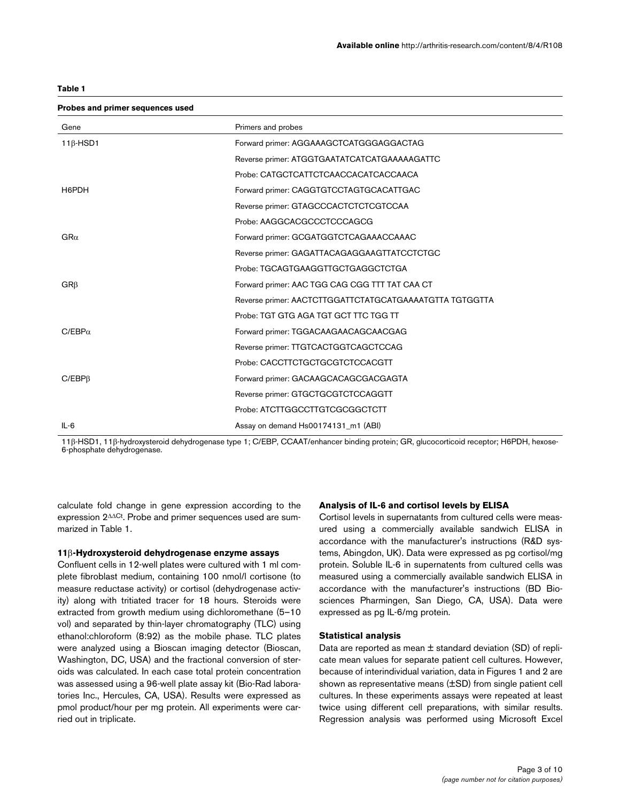| Probes and primer sequences used |                                                         |
|----------------------------------|---------------------------------------------------------|
| Gene                             | Primers and probes                                      |
| $11\beta$ -HSD1                  | Forward primer: AGGAAAGCTCATGGGAGGACTAG                 |
|                                  | Reverse primer: ATGGTGAATATCATCATGAAAAAGATTC            |
|                                  | Probe: CATGCTCATTCTCAACCACATCACCAACA                    |
| H6PDH                            | Forward primer: CAGGTGTCCTAGTGCACATTGAC                 |
|                                  | Reverse primer: GTAGCCCACTCTCTCGTCCAA                   |
|                                  | Probe: AAGGCACGCCCTCCCAGCG                              |
| $GR\alpha$                       | Forward primer: GCGATGGTCTCAGAAACCAAAC                  |
|                                  | Reverse primer: GAGATTACAGAGGAAGTTATCCTCTGC             |
|                                  | Probe: TGCAGTGAAGGTTGCTGAGGCTCTGA                       |
| $GR\beta$                        | Forward primer: AAC TGG CAG CGG TTT TAT CAA CT          |
|                                  | Reverse primer: AACTCTTGGATTCTATGCATGAAAATGTTA TGTGGTTA |
|                                  | Probe: TGT GTG AGA TGT GCT TTC TGG TT                   |
| $C/EBP\alpha$                    | Forward primer: TGGACAAGAACAGCAACGAG                    |
|                                  | Reverse primer: TTGTCACTGGTCAGCTCCAG                    |
|                                  | Probe: CACCTTCTGCTGCGTCTCCACGTT                         |
| $C/EBP\beta$                     | Forward primer: GACAAGCACAGCGACGAGTA                    |
|                                  | Reverse primer: GTGCTGCGTCTCCAGGTT                      |
|                                  | Probe: ATCTTGGCCTTGTCGCGGCTCTT                          |
| $IL-6$                           | Assay on demand Hs00174131_m1 (ABI)                     |

11β-HSD1, 11β-hydroxysteroid dehydrogenase type 1; C/EBP, CCAAT/enhancer binding protein; GR, glucocorticoid receptor; H6PDH, hexose-6-phosphate dehydrogenase.

calculate fold change in gene expression according to the expression 2∆∆Ct. Probe and primer sequences used are summarized in Table 1.

#### **11**β**-Hydroxysteroid dehydrogenase enzyme assays**

Confluent cells in 12-well plates were cultured with 1 ml complete fibroblast medium, containing 100 nmol/l cortisone (to measure reductase activity) or cortisol (dehydrogenase activity) along with tritiated tracer for 18 hours. Steroids were extracted from growth medium using dichloromethane (5–10 vol) and separated by thin-layer chromatography (TLC) using ethanol:chloroform (8:92) as the mobile phase. TLC plates were analyzed using a Bioscan imaging detector (Bioscan, Washington, DC, USA) and the fractional conversion of steroids was calculated. In each case total protein concentration was assessed using a 96-well plate assay kit (Bio-Rad laboratories Inc., Hercules, CA, USA). Results were expressed as pmol product/hour per mg protein. All experiments were carried out in triplicate.

#### **Analysis of IL-6 and cortisol levels by ELISA**

Cortisol levels in supernatants from cultured cells were measured using a commercially available sandwich ELISA in accordance with the manufacturer's instructions (R&D systems, Abingdon, UK). Data were expressed as pg cortisol/mg protein. Soluble IL-6 in supernatents from cultured cells was measured using a commercially available sandwich ELISA in accordance with the manufacturer's instructions (BD Biosciences Pharmingen, San Diego, CA, USA). Data were expressed as pg IL-6/mg protein.

#### **Statistical analysis**

Data are reported as mean  $\pm$  standard deviation (SD) of replicate mean values for separate patient cell cultures. However, because of interindividual variation, data in Figures 1 and 2 are shown as representative means (±SD) from single patient cell cultures. In these experiments assays were repeated at least twice using different cell preparations, with similar results. Regression analysis was performed using Microsoft Excel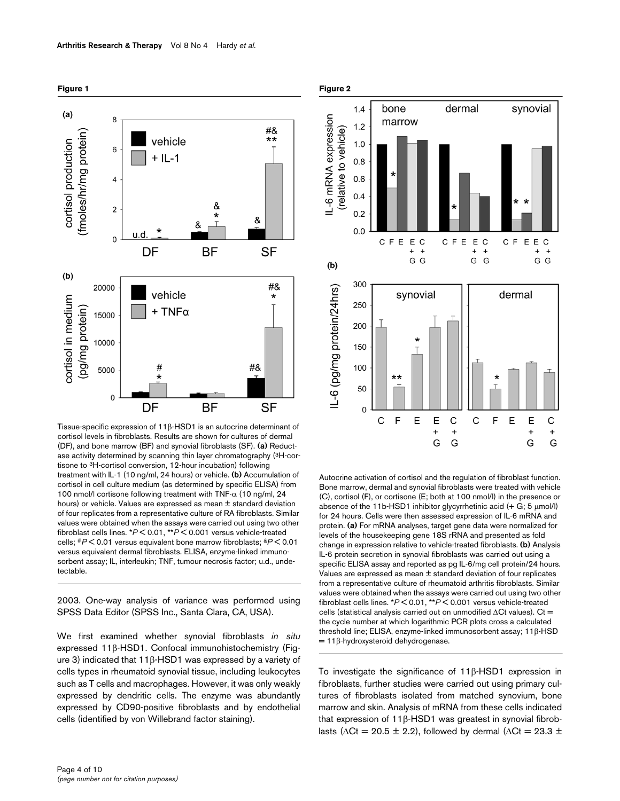

Tissue-specific expression of 11 $\beta$ -HSD1 is an autocrine determinant of cortisol levels in fibroblasts. Results are shown for cultures of dermal (DF), and bone marrow (BF) and synovial fibroblasts (SF). **(a)** Reductase activity determined by scanning thin layer chromatography (3H-cortisone to 3H-cortisol conversion, 12-hour incubation) following treatment with IL-1 (10 ng/ml, 24 hours) or vehicle. **(b)** Accumulation of cortisol in cell culture medium (as determined by specific ELISA) from 100 nmol/l cortisone following treatment with TNF- $\alpha$  (10 ng/ml, 24 hours) or vehicle. Values are expressed as mean ± standard deviation of four replicates from a representative culture of RA fibroblasts. Similar values were obtained when the assays were carried out using two other fibroblast cells lines. \**P* < 0.01, \*\**P* < 0.001 versus vehicle-treated cells; #*P* < 0.01 versus equivalent bone marrow fibroblasts; &*P* < 0.01 versus equivalent dermal fibroblasts. ELISA, enzyme-linked immunosorbent assay; IL, interleukin; TNF, tumour necrosis factor; u.d., undetectable.

2003. One-way analysis of variance was performed using SPSS Data Editor (SPSS Inc., Santa Clara, CA, USA).

We first examined whether synovial fibroblasts *in situ* expressed 11β-HSD1. Confocal immunohistochemistry (Figure 3) indicated that 11β-HSD1 was expressed by a variety of cells types in rheumatoid synovial tissue, including leukocytes such as T cells and macrophages. However, it was only weakly expressed by dendritic cells. The enzyme was abundantly expressed by CD90-positive fibroblasts and by endothelial cells (identified by von Willebrand factor staining).





Autocrine activation of cortisol and the regulation of fibroblast function. Bone marrow, dermal and synovial fibroblasts were treated with vehicle (C), cortisol (F), or cortisone (E; both at 100 nmol/l) in the presence or absence of the 11b-HSD1 inhibitor glycyrrhetinic acid (+ G; 5 µmol/l) for 24 hours. Cells were then assessed expression of IL-6 mRNA and protein. **(a)** For mRNA analyses, target gene data were normalized for levels of the housekeeping gene 18S rRNA and presented as fold change in expression relative to vehicle-treated fibroblasts. **(b)** Analysis IL-6 protein secretion in synovial fibroblasts was carried out using a specific ELISA assay and reported as pg IL-6/mg cell protein/24 hours. Values are expressed as mean ± standard deviation of four replicates from a representative culture of rheumatoid arthritis fibroblasts. Similar values were obtained when the assays were carried out using two other fibroblast cells lines. \**P* < 0.01, \*\**P* < 0.001 versus vehicle-treated cells (statistical analysis carried out on unmodified ∆Ct values). Ct = the cycle number at which logarithmic PCR plots cross a calculated threshold line; ELISA, enzyme-linked immunosorbent assay; 11β-HSD  $= 11\beta$ -hydroxysteroid dehydrogenase.

To investigate the significance of 11β-HSD1 expression in fibroblasts, further studies were carried out using primary cultures of fibroblasts isolated from matched synovium, bone marrow and skin. Analysis of mRNA from these cells indicated that expression of 11β-HSD1 was greatest in synovial fibroblasts ( $\Delta$ Ct = 20.5 ± 2.2), followed by dermal ( $\Delta$ Ct = 23.3 ±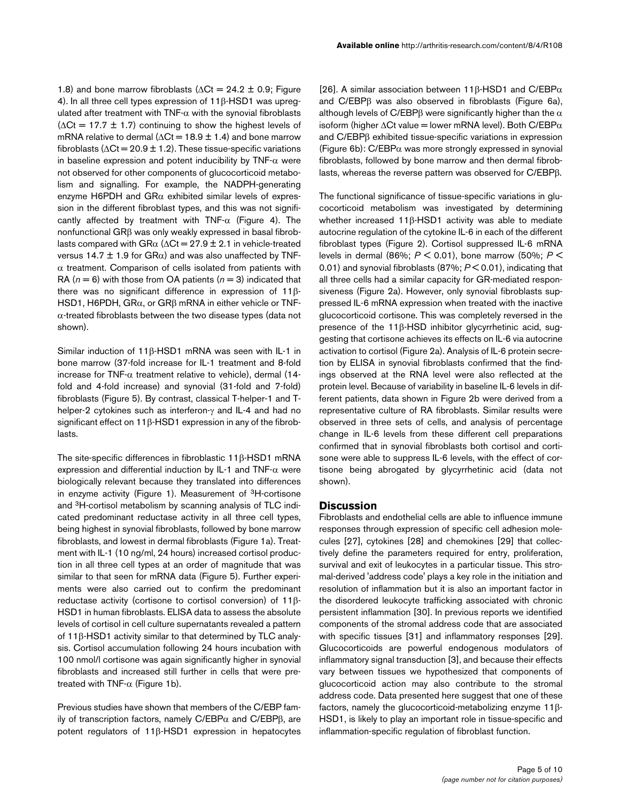1.8) and bone marrow fibroblasts ( $\Delta$ Ct = 24.2 ± 0.9; Figure 4). In all three cell types expression of 11β-HSD1 was upregulated after treatment with TNF- $\alpha$  with the synovial fibroblasts  $(\Delta \text{Ct} = 17.7 \pm 1.7)$  continuing to show the highest levels of mRNA relative to dermal ( $\Delta$ Ct = 18.9 ± 1.4) and bone marrow fibroblasts ( $\Delta$ Ct = 20.9 ± 1.2). These tissue-specific variations in baseline expression and potent inducibility by  $TNF-\alpha$  were not observed for other components of glucocorticoid metabolism and signalling. For example, the NADPH-generating enzyme H6PDH and  $G R\alpha$  exhibited similar levels of expression in the different fibroblast types, and this was not significantly affected by treatment with TNF- $\alpha$  (Figure 4). The nonfunctional GRβ was only weakly expressed in basal fibroblasts compared with GR $\alpha$  ( $\Delta$ Ct = 27.9 ± 2.1 in vehicle-treated versus 14.7  $\pm$  1.9 for GR $\alpha$ ) and was also unaffected by TNF- $\alpha$  treatment. Comparison of cells isolated from patients with RA  $(n = 6)$  with those from OA patients  $(n = 3)$  indicated that there was no significant difference in expression of 11β-HSD1, H6PDH, GRα, or GRβ mRNA in either vehicle or TNFα-treated fibroblasts between the two disease types (data not shown).

Similar induction of 11β-HSD1 mRNA was seen with IL-1 in bone marrow (37-fold increase for IL-1 treatment and 8-fold increase for TNF- $\alpha$  treatment relative to vehicle), dermal (14fold and 4-fold increase) and synovial (31-fold and 7-fold) fibroblasts (Figure 5). By contrast, classical T-helper-1 and Thelper-2 cytokines such as interferon-γ and IL-4 and had no significant effect on 11β-HSD1 expression in any of the fibroblasts.

The site-specific differences in fibroblastic 11β-HSD1 mRNA expression and differential induction by IL-1 and  $TNF-\alpha$  were biologically relevant because they translated into differences in enzyme activity (Figure 1). Measurement of 3H-cortisone and 3H-cortisol metabolism by scanning analysis of TLC indicated predominant reductase activity in all three cell types, being highest in synovial fibroblasts, followed by bone marrow fibroblasts, and lowest in dermal fibroblasts (Figure 1a). Treatment with IL-1 (10 ng/ml, 24 hours) increased cortisol production in all three cell types at an order of magnitude that was similar to that seen for mRNA data (Figure 5). Further experiments were also carried out to confirm the predominant reductase activity (cortisone to cortisol conversion) of 11β-HSD1 in human fibroblasts. ELISA data to assess the absolute levels of cortisol in cell culture supernatants revealed a pattern of 11β-HSD1 activity similar to that determined by TLC analysis. Cortisol accumulation following 24 hours incubation with 100 nmol/l cortisone was again significantly higher in synovial fibroblasts and increased still further in cells that were pretreated with TNF- $\alpha$  (Figure 1b).

Previous studies have shown that members of the C/EBP family of transcription factors, namely  $C/EBPα$  and  $C/EBPβ$ , are potent regulators of 11β-HSD1 expression in hepatocytes

[26]. A similar association between 11β-HSD1 and C/EBP $α$ and C/EBPβ was also observed in fibroblasts (Figure 6a), although levels of C/EBP $\beta$  were significantly higher than the  $\alpha$ isoform (higher  $\Delta$ Ct value = lower mRNA level). Both C/EBP $\alpha$ and C/EBPβ exhibited tissue-specific variations in expression (Figure 6b):  $C/EBP\alpha$  was more strongly expressed in synovial fibroblasts, followed by bone marrow and then dermal fibroblasts, whereas the reverse pattern was observed for C/EBPβ.

The functional significance of tissue-specific variations in glucocorticoid metabolism was investigated by determining whether increased 11β-HSD1 activity was able to mediate autocrine regulation of the cytokine IL-6 in each of the different fibroblast types (Figure 2). Cortisol suppressed IL-6 mRNA levels in dermal (86%; *P* < 0.01), bone marrow (50%; *P* < 0.01) and synovial fibroblasts (87%; *P* < 0.01), indicating that all three cells had a similar capacity for GR-mediated responsiveness (Figure 2a). However, only synovial fibroblasts suppressed IL-6 mRNA expression when treated with the inactive glucocorticoid cortisone. This was completely reversed in the presence of the 11β-HSD inhibitor glycyrrhetinic acid, suggesting that cortisone achieves its effects on IL-6 via autocrine activation to cortisol (Figure 2a). Analysis of IL-6 protein secretion by ELISA in synovial fibroblasts confirmed that the findings observed at the RNA level were also reflected at the protein level. Because of variability in baseline IL-6 levels in different patients, data shown in Figure 2b were derived from a representative culture of RA fibroblasts. Similar results were observed in three sets of cells, and analysis of percentage change in IL-6 levels from these different cell preparations confirmed that in synovial fibroblasts both cortisol and cortisone were able to suppress IL-6 levels, with the effect of cortisone being abrogated by glycyrrhetinic acid (data not shown).

#### **Discussion**

Fibroblasts and endothelial cells are able to influence immune responses through expression of specific cell adhesion molecules [27], cytokines [28] and chemokines [29] that collectively define the parameters required for entry, proliferation, survival and exit of leukocytes in a particular tissue. This stromal-derived 'address code' plays a key role in the initiation and resolution of inflammation but it is also an important factor in the disordered leukocyte trafficking associated with chronic persistent inflammation [30]. In previous reports we identified components of the stromal address code that are associated with specific tissues [31] and inflammatory responses [29]. Glucocorticoids are powerful endogenous modulators of inflammatory signal transduction [3], and because their effects vary between tissues we hypothesized that components of glucocorticoid action may also contribute to the stromal address code. Data presented here suggest that one of these factors, namely the glucocorticoid-metabolizing enzyme 11β-HSD1, is likely to play an important role in tissue-specific and inflammation-specific regulation of fibroblast function.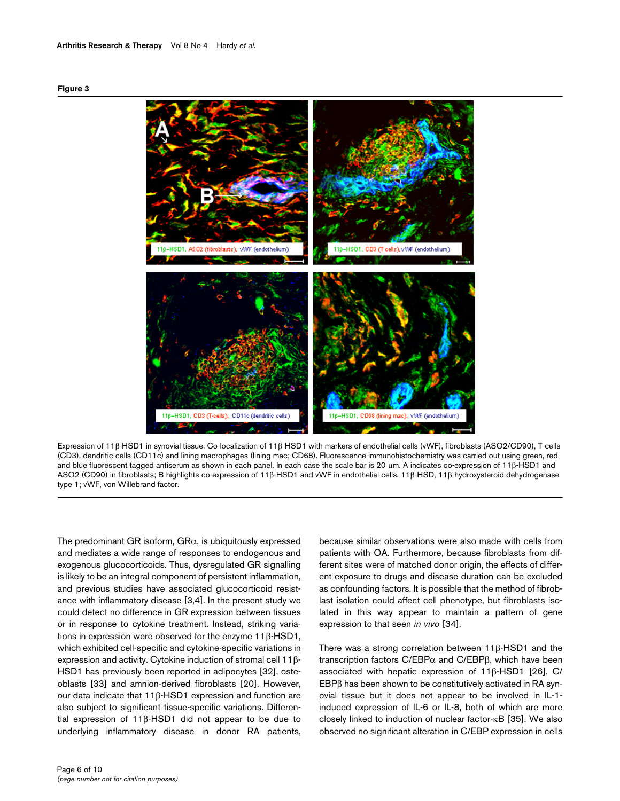#### **Figure 3**



Expression of 11β-HSD1 in synovial tissue. Co-localization of 11β-HSD1 with markers of endothelial cells (vWF), fibroblasts (ASO2/CD90), T-cells (CD3), dendritic cells (CD11c) and lining macrophages (lining mac; CD68). Fluorescence immunohistochemistry was carried out using green, red and blue fluorescent tagged antiserum as shown in each panel. In each case the scale bar is 20 µm. A indicates co-expression of 11β-HSD1 and ASO2 (CD90) in fibroblasts; B highlights co-expression of 11β-HSD1 and vWF in endothelial cells. 11β-HSD, 11β-hydroxysteroid dehydrogenase type 1; vWF, von Willebrand factor.

The predominant GR isoform,  $G R\alpha$ , is ubiquitously expressed and mediates a wide range of responses to endogenous and exogenous glucocorticoids. Thus, dysregulated GR signalling is likely to be an integral component of persistent inflammation, and previous studies have associated glucocorticoid resistance with inflammatory disease [3,4]. In the present study we could detect no difference in GR expression between tissues or in response to cytokine treatment. Instead, striking variations in expression were observed for the enzyme 11β-HSD1, which exhibited cell-specific and cytokine-specific variations in expression and activity. Cytokine induction of stromal cell 11β-HSD1 has previously been reported in adipocytes [32], osteoblasts [33] and amnion-derived fibroblasts [20]. However, our data indicate that 11β-HSD1 expression and function are also subject to significant tissue-specific variations. Differential expression of 11β-HSD1 did not appear to be due to underlying inflammatory disease in donor RA patients,

because similar observations were also made with cells from patients with OA. Furthermore, because fibroblasts from different sites were of matched donor origin, the effects of different exposure to drugs and disease duration can be excluded as confounding factors. It is possible that the method of fibroblast isolation could affect cell phenotype, but fibroblasts isolated in this way appear to maintain a pattern of gene expression to that seen *in vivo* [34].

There was a strong correlation between 11β-HSD1 and the transcription factors C/EBPα and C/EBPβ, which have been associated with hepatic expression of 11β-HSD1 [26]. C/ EBPβ has been shown to be constitutively activated in RA synovial tissue but it does not appear to be involved in IL-1 induced expression of IL-6 or IL-8, both of which are more closely linked to induction of nuclear factor-κB [35]. We also observed no significant alteration in C/EBP expression in cells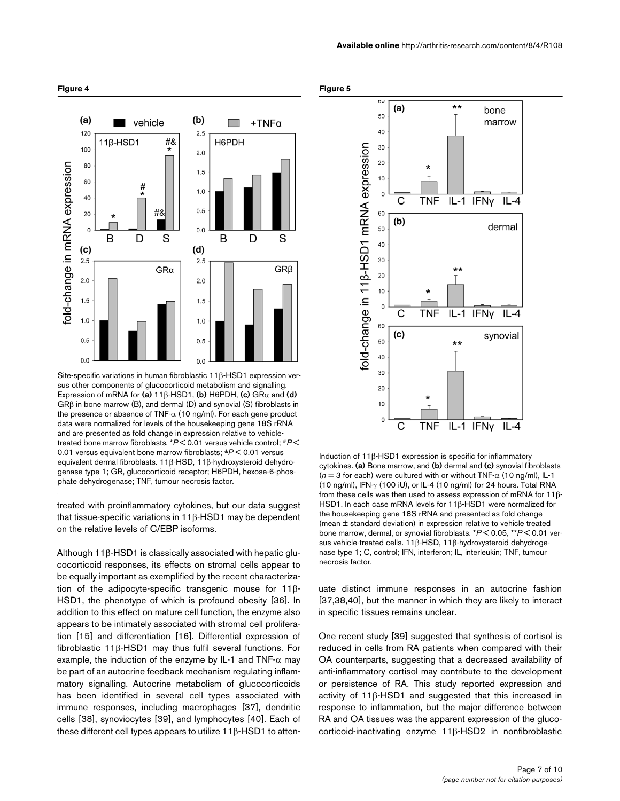

Site-specific variations in human fibroblastic 11β-HSD1 expression versus other components of glucocorticoid metabolism and signalling. Expression of mRNA for **(a)** 11β-HSD1, **(b)** H6PDH, **(c)** GRα and **(d)**  GRβ in bone marrow (B), and dermal (D) and synovial (S) fibroblasts in the presence or absence of TNF- $\alpha$  (10 ng/ml). For each gene product data were normalized for levels of the housekeeping gene 18S rRNA and are presented as fold change in expression relative to vehicletreated bone marrow fibroblasts. \**P* < 0.01 versus vehicle control; #*P* < 0.01 versus equivalent bone marrow fibroblasts; &*P* < 0.01 versus equivalent dermal fibroblasts. 11β-HSD, 11β-hydroxysteroid dehydrogenase type 1; GR, glucocorticoid receptor; H6PDH, hexose-6-phosphate dehydrogenase; TNF, tumour necrosis factor.

treated with proinflammatory cytokines, but our data suggest that tissue-specific variations in 11β-HSD1 may be dependent on the relative levels of C/EBP isoforms.

Although 11β-HSD1 is classically associated with hepatic glucocorticoid responses, its effects on stromal cells appear to be equally important as exemplified by the recent characterization of the adipocyte-specific transgenic mouse for 11β-HSD1, the phenotype of which is profound obesity [36]. In addition to this effect on mature cell function, the enzyme also appears to be intimately associated with stromal cell proliferation [15] and differentiation [16]. Differential expression of fibroblastic 11β-HSD1 may thus fulfil several functions. For example, the induction of the enzyme by IL-1 and TNF- $\alpha$  may be part of an autocrine feedback mechanism regulating inflammatory signalling. Autocrine metabolism of glucocorticoids has been identified in several cell types associated with immune responses, including macrophages [37], dendritic cells [38], synoviocytes [39], and lymphocytes [40]. Each of these different cell types appears to utilize 11β-HSD1 to atten-





Induction of 11 $β$ -HSD1 expression is specific for inflammatory cytokines. **(a)** Bone marrow, and **(b)** dermal and **(c)** synovial fibroblasts  $(n = 3$  for each) were cultured with or without TNF- $\alpha$  (10 ng/ml), IL-1 (10 ng/ml), IFN-γ (100 iU), or IL-4 (10 ng/ml) for 24 hours. Total RNA from these cells was then used to assess expression of mRNA for 118-HSD1. In each case mRNA levels for 11β-HSD1 were normalized for the housekeeping gene 18S rRNA and presented as fold change (mean ± standard deviation) in expression relative to vehicle treated bone marrow, dermal, or synovial fibroblasts. \**P* < 0.05, \*\**P* < 0.01 versus vehicle-treated cells. 11β-HSD, 11β-hydroxysteroid dehydrogenase type 1; C, control; IFN, interferon; IL, interleukin; TNF, tumour necrosis factor.

uate distinct immune responses in an autocrine fashion [37,38,40], but the manner in which they are likely to interact in specific tissues remains unclear.

One recent study [39] suggested that synthesis of cortisol is reduced in cells from RA patients when compared with their OA counterparts, suggesting that a decreased availability of anti-inflammatory cortisol may contribute to the development or persistence of RA. This study reported expression and activity of 11β-HSD1 and suggested that this increased in response to inflammation, but the major difference between RA and OA tissues was the apparent expression of the glucocorticoid-inactivating enzyme 11β-HSD2 in nonfibroblastic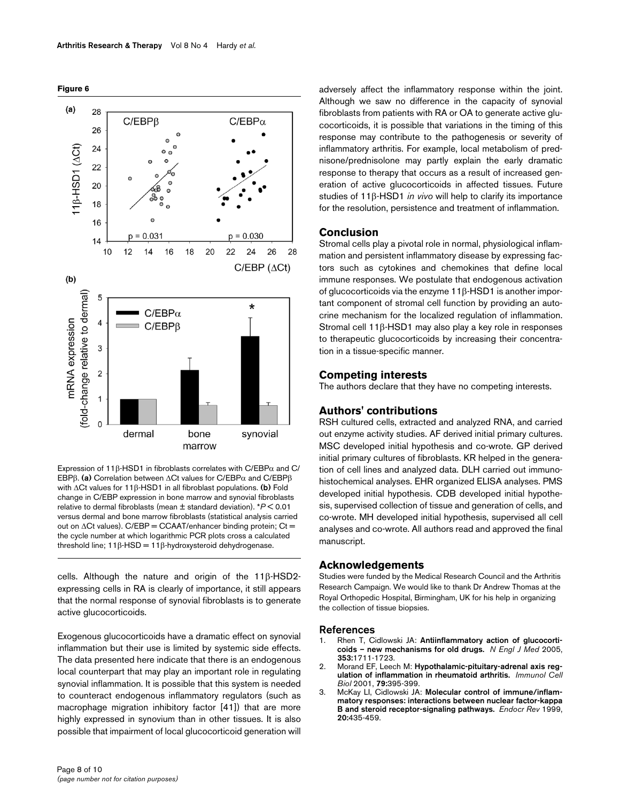



Expression of 11 $β$ -HSD1 in fibroblasts correlates with C/EBP $α$  and C/ EBPβ. **(a)** Correlation between ∆Ct values for C/EBPα and C/EBPβ with ∆Ct values for 11β-HSD1 in all fibroblast populations. **(b)** Fold change in C/EBP expression in bone marrow and synovial fibroblasts relative to dermal fibroblasts (mean ± standard deviation). \**P* < 0.01 versus dermal and bone marrow fibroblasts (statistical analysis carried out on ∆Ct values). C/EBP = CCAAT/enhancer binding protein; Ct = the cycle number at which logarithmic PCR plots cross a calculated threshold line;  $11β$ -HSD =  $11β$ -hydroxysteroid dehydrogenase.

cells. Although the nature and origin of the 11β-HSD2 expressing cells in RA is clearly of importance, it still appears that the normal response of synovial fibroblasts is to generate active glucocorticoids.

Exogenous glucocorticoids have a dramatic effect on synovial inflammation but their use is limited by systemic side effects. The data presented here indicate that there is an endogenous local counterpart that may play an important role in regulating synovial inflammation. It is possible that this system is needed to counteract endogenous inflammatory regulators (such as macrophage migration inhibitory factor [41]) that are more highly expressed in synovium than in other tissues. It is also possible that impairment of local glucocorticoid generation will

adversely affect the inflammatory response within the joint. Although we saw no difference in the capacity of synovial fibroblasts from patients with RA or OA to generate active glucocorticoids, it is possible that variations in the timing of this response may contribute to the pathogenesis or severity of inflammatory arthritis. For example, local metabolism of prednisone/prednisolone may partly explain the early dramatic response to therapy that occurs as a result of increased generation of active glucocorticoids in affected tissues. Future studies of 11β-HSD1 *in vivo* will help to clarify its importance for the resolution, persistence and treatment of inflammation.

#### **Conclusion**

Stromal cells play a pivotal role in normal, physiological inflammation and persistent inflammatory disease by expressing factors such as cytokines and chemokines that define local immune responses. We postulate that endogenous activation of glucocorticoids via the enzyme 11β-HSD1 is another important component of stromal cell function by providing an autocrine mechanism for the localized regulation of inflammation. Stromal cell 11β-HSD1 may also play a key role in responses to therapeutic glucocorticoids by increasing their concentration in a tissue-specific manner.

#### **Competing interests**

The authors declare that they have no competing interests.

#### **Authors' contributions**

RSH cultured cells, extracted and analyzed RNA, and carried out enzyme activity studies. AF derived initial primary cultures. MSC developed initial hypothesis and co-wrote. GP derived initial primary cultures of fibroblasts. KR helped in the generation of cell lines and analyzed data. DLH carried out immunohistochemical analyses. EHR organized ELISA analyses. PMS developed initial hypothesis. CDB developed initial hypothesis, supervised collection of tissue and generation of cells, and co-wrote. MH developed initial hypothesis, supervised all cell analyses and co-wrote. All authors read and approved the final manuscript.

#### **Acknowledgements**

Studies were funded by the Medical Research Council and the Arthritis Research Campaign. We would like to thank Dr Andrew Thomas at the Royal Orthopedic Hospital, Birmingham, UK for his help in organizing the collection of tissue biopsies.

#### **References**

- 1. Rhen T, Cidlowski JA: **[Antiinflammatory action of glucocorti](http://www.ncbi.nlm.nih.gov/entrez/query.fcgi?cmd=Retrieve&db=PubMed&dopt=Abstract&list_uids=16236742)[coids – new mechanisms for old drugs.](http://www.ncbi.nlm.nih.gov/entrez/query.fcgi?cmd=Retrieve&db=PubMed&dopt=Abstract&list_uids=16236742)** *N Engl J Med* 2005, **353:**1711-1723.
- 2. Morand EF, Leech M: **[Hypothalamic-pituitary-adrenal axis reg](http://www.ncbi.nlm.nih.gov/entrez/query.fcgi?cmd=Retrieve&db=PubMed&dopt=Abstract&list_uids=11488987)[ulation of inflammation in rheumatoid arthritis.](http://www.ncbi.nlm.nih.gov/entrez/query.fcgi?cmd=Retrieve&db=PubMed&dopt=Abstract&list_uids=11488987)** *Immunol Cell Biol* 2001, **79:**395-399.
- 3. McKay LI, Cidlowski JA: **[Molecular control of immune/inflam](http://www.ncbi.nlm.nih.gov/entrez/query.fcgi?cmd=Retrieve&db=PubMed&dopt=Abstract&list_uids=10453354)[matory responses: interactions between nuclear factor-kappa](http://www.ncbi.nlm.nih.gov/entrez/query.fcgi?cmd=Retrieve&db=PubMed&dopt=Abstract&list_uids=10453354) [B and steroid receptor-signaling pathways.](http://www.ncbi.nlm.nih.gov/entrez/query.fcgi?cmd=Retrieve&db=PubMed&dopt=Abstract&list_uids=10453354)** *Endocr Rev* 1999, **20:**435-459.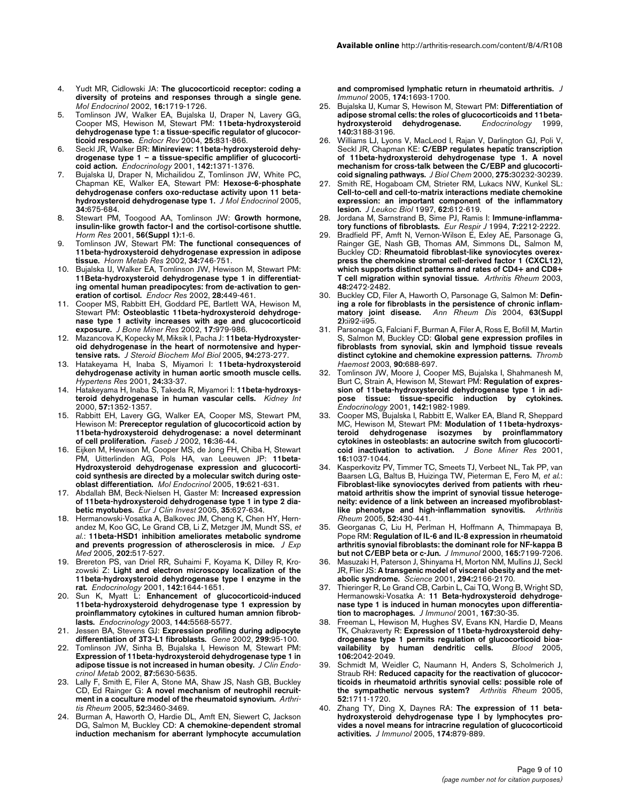- 4. Yudt MR, Cidlowski JA: **[The glucocorticoid receptor: coding a](http://www.ncbi.nlm.nih.gov/entrez/query.fcgi?cmd=Retrieve&db=PubMed&dopt=Abstract&list_uids=12145329) [diversity of proteins and responses through a single gene.](http://www.ncbi.nlm.nih.gov/entrez/query.fcgi?cmd=Retrieve&db=PubMed&dopt=Abstract&list_uids=12145329)** *Mol Endocrinol* 2002, **16:**1719-1726.
- 5. Tomlinson JW, Walker EA, Bujalska IJ, Draper N, Lavery GG, Cooper MS, Hewison M, Stewart PM: **[11beta-hydroxysteroid](http://www.ncbi.nlm.nih.gov/entrez/query.fcgi?cmd=Retrieve&db=PubMed&dopt=Abstract&list_uids=15466942) [dehydrogenase type 1: a tissue-specific regulator of glucocor](http://www.ncbi.nlm.nih.gov/entrez/query.fcgi?cmd=Retrieve&db=PubMed&dopt=Abstract&list_uids=15466942)[ticoid response.](http://www.ncbi.nlm.nih.gov/entrez/query.fcgi?cmd=Retrieve&db=PubMed&dopt=Abstract&list_uids=15466942)** *Endocr Rev* 2004, **25:**831-866.
- 6. Seckl JR, Walker BR: **[Minireview: 11beta-hydroxysteroid dehy](http://www.ncbi.nlm.nih.gov/entrez/query.fcgi?cmd=Retrieve&db=PubMed&dopt=Abstract&list_uids=11250914)[drogenase type 1 – a tissue-specific amplifier of glucocorti](http://www.ncbi.nlm.nih.gov/entrez/query.fcgi?cmd=Retrieve&db=PubMed&dopt=Abstract&list_uids=11250914)[coid action.](http://www.ncbi.nlm.nih.gov/entrez/query.fcgi?cmd=Retrieve&db=PubMed&dopt=Abstract&list_uids=11250914)** *Endocrinology* 2001, **142:**1371-1376.
- 7. Bujalska IJ, Draper N, Michailidou Z, Tomlinson JW, White PC, Chapman KE, Walker EA, Stewart PM: **[Hexose-6-phosphate](http://www.ncbi.nlm.nih.gov/entrez/query.fcgi?cmd=Retrieve&db=PubMed&dopt=Abstract&list_uids=15956339) [dehydrogenase confers oxo-reductase activity upon 11 beta](http://www.ncbi.nlm.nih.gov/entrez/query.fcgi?cmd=Retrieve&db=PubMed&dopt=Abstract&list_uids=15956339)[hydroxysteroid dehydrogenase type 1.](http://www.ncbi.nlm.nih.gov/entrez/query.fcgi?cmd=Retrieve&db=PubMed&dopt=Abstract&list_uids=15956339)** *J Mol Endocrinol* 2005, **34:**675-684.
- 8. Stewart PM, Toogood AA, Tomlinson JW: **[Growth hormone,](http://www.ncbi.nlm.nih.gov/entrez/query.fcgi?cmd=Retrieve&db=PubMed&dopt=Abstract&list_uids=11786677) [insulin-like growth factor-I and the cortisol-cortisone shuttle.](http://www.ncbi.nlm.nih.gov/entrez/query.fcgi?cmd=Retrieve&db=PubMed&dopt=Abstract&list_uids=11786677)** *Horm Res* 2001, **56(Suppl 1):**1-6.
- 9. Tomlinson JW, Stewart PM: **[The functional consequences of](http://www.ncbi.nlm.nih.gov/entrez/query.fcgi?cmd=Retrieve&db=PubMed&dopt=Abstract&list_uids=12660893) [11beta-hydroxysteroid dehydrogenase expression in adipose](http://www.ncbi.nlm.nih.gov/entrez/query.fcgi?cmd=Retrieve&db=PubMed&dopt=Abstract&list_uids=12660893) [tissue.](http://www.ncbi.nlm.nih.gov/entrez/query.fcgi?cmd=Retrieve&db=PubMed&dopt=Abstract&list_uids=12660893)** *Horm Metab Res* 2002, **34:**746-751.
- 10. Bujalska IJ, Walker EA, Tomlinson JW, Hewison M, Stewart PM: **[11Beta-hydroxysteroid dehydrogenase type 1 in differentiat](http://www.ncbi.nlm.nih.gov/entrez/query.fcgi?cmd=Retrieve&db=PubMed&dopt=Abstract&list_uids=12530648)ing omental human preadipocytes: from de-activation to gen[eration of cortisol.](http://www.ncbi.nlm.nih.gov/entrez/query.fcgi?cmd=Retrieve&db=PubMed&dopt=Abstract&list_uids=12530648)** *Endocr Res* 2002, **28:**449-461.
- 11. Cooper MS, Rabbitt EH, Goddard PE, Bartlett WA, Hewison M, Stewart PM: **[Osteoblastic 11beta-hydroxysteroid dehydroge](http://www.ncbi.nlm.nih.gov/entrez/query.fcgi?cmd=Retrieve&db=PubMed&dopt=Abstract&list_uids=12054173)[nase type 1 activity increases with age and glucocorticoid](http://www.ncbi.nlm.nih.gov/entrez/query.fcgi?cmd=Retrieve&db=PubMed&dopt=Abstract&list_uids=12054173) [exposure.](http://www.ncbi.nlm.nih.gov/entrez/query.fcgi?cmd=Retrieve&db=PubMed&dopt=Abstract&list_uids=12054173)** *J Bone Miner Res* 2002, **17:**979-986.
- 12. Mazancova K, Kopecky M, Miksik I, Pacha J: **[11beta-Hydroxyster](http://www.ncbi.nlm.nih.gov/entrez/query.fcgi?cmd=Retrieve&db=PubMed&dopt=Abstract&list_uids=15862976)[oid dehydrogenase in the heart of normotensive and hyper](http://www.ncbi.nlm.nih.gov/entrez/query.fcgi?cmd=Retrieve&db=PubMed&dopt=Abstract&list_uids=15862976)[tensive rats.](http://www.ncbi.nlm.nih.gov/entrez/query.fcgi?cmd=Retrieve&db=PubMed&dopt=Abstract&list_uids=15862976)** *J Steroid Biochem Mol Biol* 2005, **94:**273-277.
- 13. Hatakeyama H, Inaba S, Miyamori I: **[11beta-hydroxysteroid](http://www.ncbi.nlm.nih.gov/entrez/query.fcgi?cmd=Retrieve&db=PubMed&dopt=Abstract&list_uids=11213028) [dehydrogenase activity in human aortic smooth muscle cells.](http://www.ncbi.nlm.nih.gov/entrez/query.fcgi?cmd=Retrieve&db=PubMed&dopt=Abstract&list_uids=11213028)** *Hypertens Res* 2001, **24:**33-37.
- 14. Hatakeyama H, Inaba S, Takeda R, Miyamori I: **[11beta-hydroxys](http://www.ncbi.nlm.nih.gov/entrez/query.fcgi?cmd=Retrieve&db=PubMed&dopt=Abstract&list_uids=10760066)[teroid dehydrogenase in human vascular cells.](http://www.ncbi.nlm.nih.gov/entrez/query.fcgi?cmd=Retrieve&db=PubMed&dopt=Abstract&list_uids=10760066)** *Kidney Int* 2000, **57:**1352-1357.
- 15. Rabbitt EH, Lavery GG, Walker EA, Cooper MS, Stewart PM, Hewison M: **[Prereceptor regulation of glucocorticoid action by](http://www.ncbi.nlm.nih.gov/entrez/query.fcgi?cmd=Retrieve&db=PubMed&dopt=Abstract&list_uids=11772934) [11beta-hydroxysteroid dehydrogenase: a novel determinant](http://www.ncbi.nlm.nih.gov/entrez/query.fcgi?cmd=Retrieve&db=PubMed&dopt=Abstract&list_uids=11772934) [of cell proliferation.](http://www.ncbi.nlm.nih.gov/entrez/query.fcgi?cmd=Retrieve&db=PubMed&dopt=Abstract&list_uids=11772934)** *Faseb J* 2002, **16:**36-44.
- 16. Eijken M, Hewison M, Cooper MS, de Jong FH, Chiba H, Stewart PM, Uitterlinden AG, Pols HA, van Leeuwen JP: **[11beta-](http://www.ncbi.nlm.nih.gov/entrez/query.fcgi?cmd=Retrieve&db=PubMed&dopt=Abstract&list_uids=15591536)Hydroxysteroid dehydrogenase expression and glucocorti[coid synthesis are directed by a molecular switch during oste](http://www.ncbi.nlm.nih.gov/entrez/query.fcgi?cmd=Retrieve&db=PubMed&dopt=Abstract&list_uids=15591536)[oblast differentiation.](http://www.ncbi.nlm.nih.gov/entrez/query.fcgi?cmd=Retrieve&db=PubMed&dopt=Abstract&list_uids=15591536)** *Mol Endocrinol* 2005, **19:**621-631.
- 17. Abdallah BM, Beck-Nielsen H, Gaster M: **[Increased expression](http://www.ncbi.nlm.nih.gov/entrez/query.fcgi?cmd=Retrieve&db=PubMed&dopt=Abstract&list_uids=16178882) [of 11beta-hydroxysteroid dehydrogenase type 1 in type 2 dia](http://www.ncbi.nlm.nih.gov/entrez/query.fcgi?cmd=Retrieve&db=PubMed&dopt=Abstract&list_uids=16178882)[betic myotubes.](http://www.ncbi.nlm.nih.gov/entrez/query.fcgi?cmd=Retrieve&db=PubMed&dopt=Abstract&list_uids=16178882)** *Eur J Clin Invest* 2005, **35:**627-634.
- 18. Hermanowski-Vosatka A, Balkovec JM, Cheng K, Chen HY, Hernandez M, Koo GC, Le Grand CB, Li Z, Metzger JM, Mundt SS, *et al.*: **[11beta-HSD1 inhibition ameliorates metabolic syndrome](http://www.ncbi.nlm.nih.gov/entrez/query.fcgi?cmd=Retrieve&db=PubMed&dopt=Abstract&list_uids=16103409) [and prevents progression of atherosclerosis in mice.](http://www.ncbi.nlm.nih.gov/entrez/query.fcgi?cmd=Retrieve&db=PubMed&dopt=Abstract&list_uids=16103409)** *J Exp Med* 2005, **202:**517-527.
- 19. Brereton PS, van Driel RR, Suhaimi F, Koyama K, Dilley R, Krozowski Z: **[Light and electron microscopy localization of the](http://www.ncbi.nlm.nih.gov/entrez/query.fcgi?cmd=Retrieve&db=PubMed&dopt=Abstract&list_uids=11250946) [11beta-hydroxysteroid dehydrogenase type I enzyme in the](http://www.ncbi.nlm.nih.gov/entrez/query.fcgi?cmd=Retrieve&db=PubMed&dopt=Abstract&list_uids=11250946) [rat.](http://www.ncbi.nlm.nih.gov/entrez/query.fcgi?cmd=Retrieve&db=PubMed&dopt=Abstract&list_uids=11250946)** *Endocrinology* 2001, **142:**1644-1651.
- 20. Sun K, Myatt L: **[Enhancement of glucocorticoid-induced](http://www.ncbi.nlm.nih.gov/entrez/query.fcgi?cmd=Retrieve&db=PubMed&dopt=Abstract&list_uids=12960005) [11beta-hydroxysteroid dehydrogenase type 1 expression by](http://www.ncbi.nlm.nih.gov/entrez/query.fcgi?cmd=Retrieve&db=PubMed&dopt=Abstract&list_uids=12960005) proinflammatory cytokines in cultured human amnion fibrob[lasts.](http://www.ncbi.nlm.nih.gov/entrez/query.fcgi?cmd=Retrieve&db=PubMed&dopt=Abstract&list_uids=12960005)** *Endocrinology* 2003, **144:**5568-5577.
- 21. Jessen BA, Stevens GJ: **[Expression profiling during adipocyte](http://www.ncbi.nlm.nih.gov/entrez/query.fcgi?cmd=Retrieve&db=PubMed&dopt=Abstract&list_uids=12459256) [differentiation of 3T3-L1 fibroblasts.](http://www.ncbi.nlm.nih.gov/entrez/query.fcgi?cmd=Retrieve&db=PubMed&dopt=Abstract&list_uids=12459256)** *Gene* 2002, **299:**95-100.
- 22. Tomlinson JW, Sinha B, Bujalska I, Hewison M, Stewart PM: **[Expression of 11beta-hydroxysteroid dehydrogenase type 1 in](http://www.ncbi.nlm.nih.gov/entrez/query.fcgi?cmd=Retrieve&db=PubMed&dopt=Abstract&list_uids=12466364) [adipose tissue is not increased in human obesity.](http://www.ncbi.nlm.nih.gov/entrez/query.fcgi?cmd=Retrieve&db=PubMed&dopt=Abstract&list_uids=12466364)** *J Clin Endocrinol Metab* 2002, **87:**5630-5635.
- 23. Lally F, Smith E, Filer A, Stone MA, Shaw JS, Nash GB, Buckley CD, Ed Rainger G: **[A novel mechanism of neutrophil recruit](http://www.ncbi.nlm.nih.gov/entrez/query.fcgi?cmd=Retrieve&db=PubMed&dopt=Abstract&list_uids=16255036)[ment in a coculture model of the rheumatoid synovium.](http://www.ncbi.nlm.nih.gov/entrez/query.fcgi?cmd=Retrieve&db=PubMed&dopt=Abstract&list_uids=16255036)** *Arthritis Rheum* 2005, **52:**3460-3469.
- 24. Burman A, Haworth O, Hardie DL, Amft EN, Siewert C, Jackson DG, Salmon M, Buckley CD: **[A chemokine-dependent stromal](http://www.ncbi.nlm.nih.gov/entrez/query.fcgi?cmd=Retrieve&db=PubMed&dopt=Abstract&list_uids=15661933) [induction mechanism for aberrant lymphocyte accumulation](http://www.ncbi.nlm.nih.gov/entrez/query.fcgi?cmd=Retrieve&db=PubMed&dopt=Abstract&list_uids=15661933)**

**[and compromised lymphatic return in rheumatoid arthritis.](http://www.ncbi.nlm.nih.gov/entrez/query.fcgi?cmd=Retrieve&db=PubMed&dopt=Abstract&list_uids=15661933)** *J Immunol* 2005, **174:**1693-1700.

- 25. Bujalska IJ, Kumar S, Hewison M, Stewart PM: **[Differentiation of](http://www.ncbi.nlm.nih.gov/entrez/query.fcgi?cmd=Retrieve&db=PubMed&dopt=Abstract&list_uids=10385414) [adipose stromal cells: the roles of glucocorticoids and 11beta](http://www.ncbi.nlm.nih.gov/entrez/query.fcgi?cmd=Retrieve&db=PubMed&dopt=Abstract&list_uids=10385414)[hydroxysteroid dehydrogenase.](http://www.ncbi.nlm.nih.gov/entrez/query.fcgi?cmd=Retrieve&db=PubMed&dopt=Abstract&list_uids=10385414)** *Endocrinology* 1999, **140:**3188-3196.
- 26. Williams LJ, Lyons V, MacLeod I, Rajan V, Darlington GJ, Poli V, Seckl JR, Chapman KE: **[C/EBP regulates hepatic transcription](http://www.ncbi.nlm.nih.gov/entrez/query.fcgi?cmd=Retrieve&db=PubMed&dopt=Abstract&list_uids=10906322) [of 11beta-hydroxysteroid dehydrogenase type 1. A novel](http://www.ncbi.nlm.nih.gov/entrez/query.fcgi?cmd=Retrieve&db=PubMed&dopt=Abstract&list_uids=10906322) mechanism for cross-talk between the C/EBP and glucocorti[coid signaling pathways.](http://www.ncbi.nlm.nih.gov/entrez/query.fcgi?cmd=Retrieve&db=PubMed&dopt=Abstract&list_uids=10906322)** *J Biol Chem* 2000, **275:**30232-30239.
- Smith RE, Hogaboam CM, Strieter RM, Lukacs NW, Kunkel SL: **Cell-to-cell and cell-to-matrix interactions mediate chemokine [expression: an important component of the inflammatory](http://www.ncbi.nlm.nih.gov/entrez/query.fcgi?cmd=Retrieve&db=PubMed&dopt=Abstract&list_uids=9365116) [lesion.](http://www.ncbi.nlm.nih.gov/entrez/query.fcgi?cmd=Retrieve&db=PubMed&dopt=Abstract&list_uids=9365116)** *J Leukoc Biol* 1997, **62:**612-619.
- Jordana M, Sarnstrand B, Sime PJ, Ramis I: [Immune-inflamma](http://www.ncbi.nlm.nih.gov/entrez/query.fcgi?cmd=Retrieve&db=PubMed&dopt=Abstract&list_uids=7713206)**[tory functions of fibroblasts.](http://www.ncbi.nlm.nih.gov/entrez/query.fcgi?cmd=Retrieve&db=PubMed&dopt=Abstract&list_uids=7713206)** *Eur Respir J* 1994, **7:**2212-2222.
- 29. Bradfield PF, Amft N, Vernon-Wilson E, Exley AE, Parsonage G, Rainger GE, Nash GB, Thomas AM, Simmons DL, Salmon M, Buckley CD: **[Rheumatoid fibroblast-like synoviocytes overex](http://www.ncbi.nlm.nih.gov/entrez/query.fcgi?cmd=Retrieve&db=PubMed&dopt=Abstract&list_uids=13130466)press the chemokine stromal cell-derived factor 1 (CXCL12), [which supports distinct patterns and rates of CD4+ and CD8+](http://www.ncbi.nlm.nih.gov/entrez/query.fcgi?cmd=Retrieve&db=PubMed&dopt=Abstract&list_uids=13130466) [T cell migration within synovial tissue.](http://www.ncbi.nlm.nih.gov/entrez/query.fcgi?cmd=Retrieve&db=PubMed&dopt=Abstract&list_uids=13130466)** *Arthritis Rheum* 2003, **48:**2472-2482.
- 30. Buckley CD, Filer A, Haworth O, Parsonage G, Salmon M: **[Defin](http://www.ncbi.nlm.nih.gov/entrez/query.fcgi?cmd=Retrieve&db=PubMed&dopt=Abstract&list_uids=15479882)[ing a role for fibroblasts in the persistence of chronic inflam](http://www.ncbi.nlm.nih.gov/entrez/query.fcgi?cmd=Retrieve&db=PubMed&dopt=Abstract&list_uids=15479882)[matory joint disease.](http://www.ncbi.nlm.nih.gov/entrez/query.fcgi?cmd=Retrieve&db=PubMed&dopt=Abstract&list_uids=15479882)** *Ann Rheum Dis* 2004, **63(Suppl 2):**ii92-ii95.
- 31. Parsonage G, Falciani F, Burman A, Filer A, Ross E, Bofill M, Martin S, Salmon M, Buckley CD: **[Global gene expression profiles in](http://www.ncbi.nlm.nih.gov/entrez/query.fcgi?cmd=Retrieve&db=PubMed&dopt=Abstract&list_uids=14515190) [fibroblasts from synovial, skin and lymphoid tissue reveals](http://www.ncbi.nlm.nih.gov/entrez/query.fcgi?cmd=Retrieve&db=PubMed&dopt=Abstract&list_uids=14515190) [distinct cytokine and chemokine expression patterns.](http://www.ncbi.nlm.nih.gov/entrez/query.fcgi?cmd=Retrieve&db=PubMed&dopt=Abstract&list_uids=14515190)** *Thromb Haemost* 2003, **90:**688-697.
- Tomlinson JW, Moore J, Cooper MS, Bujalska I, Shahmanesh M, Burt C, Strain A, Hewison M, Stewart PM: **[Regulation of expres](http://www.ncbi.nlm.nih.gov/entrez/query.fcgi?cmd=Retrieve&db=PubMed&dopt=Abstract&list_uids=11316764)sion of 11beta-hydroxysteroid dehydrogenase type 1 in adi[pose tissue: tissue-specific induction by cytokines.](http://www.ncbi.nlm.nih.gov/entrez/query.fcgi?cmd=Retrieve&db=PubMed&dopt=Abstract&list_uids=11316764)** *Endocrinology* 2001, **142:**1982-1989.
- 33. Cooper MS, Bujalska I, Rabbitt E, Walker EA, Bland R, Sheppard MC, Hewison M, Stewart PM: **[Modulation of 11beta-hydroxys](http://www.ncbi.nlm.nih.gov/entrez/query.fcgi?cmd=Retrieve&db=PubMed&dopt=Abstract&list_uids=11393780)[teroid dehydrogenase isozymes by proinflammatory](http://www.ncbi.nlm.nih.gov/entrez/query.fcgi?cmd=Retrieve&db=PubMed&dopt=Abstract&list_uids=11393780) cytokines in osteoblasts: an autocrine switch from glucocorti[coid inactivation to activation.](http://www.ncbi.nlm.nih.gov/entrez/query.fcgi?cmd=Retrieve&db=PubMed&dopt=Abstract&list_uids=11393780)** *J Bone Miner Res* 2001, **16:**1037-1044.
- Kasperkovitz PV, Timmer TC, Smeets TJ, Verbeet NL, Tak PP, van Baarsen LG, Baltus B, Huizinga TW, Pieterman E, Fero M, *et al.*: **[Fibroblast-like synoviocytes derived from patients with rheu](http://www.ncbi.nlm.nih.gov/entrez/query.fcgi?cmd=Retrieve&db=PubMed&dopt=Abstract&list_uids=15692990)matoid arthritis show the imprint of synovial tissue heterogeneity: evidence of a link between an increased myofibroblast**[like phenotype and high-inflammation synovitis.](http://www.ncbi.nlm.nih.gov/entrez/query.fcgi?cmd=Retrieve&db=PubMed&dopt=Abstract&list_uids=15692990) *Rheum* 2005, **52:**430-441.
- 35. Georganas C, Liu H, Perlman H, Hoffmann A, Thimmapaya B, Pope RM: **[Regulation of IL-6 and IL-8 expression in rheumatoid](http://www.ncbi.nlm.nih.gov/entrez/query.fcgi?cmd=Retrieve&db=PubMed&dopt=Abstract&list_uids=11120852) [arthritis synovial fibroblasts: the dominant role for NF-kappa B](http://www.ncbi.nlm.nih.gov/entrez/query.fcgi?cmd=Retrieve&db=PubMed&dopt=Abstract&list_uids=11120852) [but not C/EBP beta or c-Jun.](http://www.ncbi.nlm.nih.gov/entrez/query.fcgi?cmd=Retrieve&db=PubMed&dopt=Abstract&list_uids=11120852)** *J Immunol* 2000, **165:**7199-7206.
- 36. Masuzaki H, Paterson J, Shinyama H, Morton NM, Mullins JJ, Seckl JR, Flier JS: **[A transgenic model of visceral obesity and the met](http://www.ncbi.nlm.nih.gov/entrez/query.fcgi?cmd=Retrieve&db=PubMed&dopt=Abstract&list_uids=11739957)[abolic syndrome.](http://www.ncbi.nlm.nih.gov/entrez/query.fcgi?cmd=Retrieve&db=PubMed&dopt=Abstract&list_uids=11739957)** *Science* 2001, **294:**2166-2170.
- 37. Thieringer R, Le Grand CB, Carbin L, Cai TQ, Wong B, Wright SD, Hermanowski-Vosatka A: **[11 Beta-hydroxysteroid dehydroge](http://www.ncbi.nlm.nih.gov/entrez/query.fcgi?cmd=Retrieve&db=PubMed&dopt=Abstract&list_uids=11418628)[nase type 1 is induced in human monocytes upon differentia](http://www.ncbi.nlm.nih.gov/entrez/query.fcgi?cmd=Retrieve&db=PubMed&dopt=Abstract&list_uids=11418628)[tion to macrophages.](http://www.ncbi.nlm.nih.gov/entrez/query.fcgi?cmd=Retrieve&db=PubMed&dopt=Abstract&list_uids=11418628)** *J Immunol* 2001, **167:**30-35.
- 38. Freeman L, Hewison M, Hughes SV, Evans KN, Hardie D, Means TK, Chakraverty R: **[Expression of 11beta-hydroxysteroid dehy](http://www.ncbi.nlm.nih.gov/entrez/query.fcgi?cmd=Retrieve&db=PubMed&dopt=Abstract&list_uids=15941907)[drogenase type 1 permits regulation of glucocorticoid bioa](http://www.ncbi.nlm.nih.gov/entrez/query.fcgi?cmd=Retrieve&db=PubMed&dopt=Abstract&list_uids=15941907)[vailability by human dendritic cells.](http://www.ncbi.nlm.nih.gov/entrez/query.fcgi?cmd=Retrieve&db=PubMed&dopt=Abstract&list_uids=15941907)** *Blood* 2005, **106:**2042-2049.
- Schmidt M, Weidler C, Naumann H, Anders S, Scholmerich J, Straub RH: **[Reduced capacity for the reactivation of glucocor](http://www.ncbi.nlm.nih.gov/entrez/query.fcgi?cmd=Retrieve&db=PubMed&dopt=Abstract&list_uids=15934114)[ticoids in rheumatoid arthritis synovial cells: possible role of](http://www.ncbi.nlm.nih.gov/entrez/query.fcgi?cmd=Retrieve&db=PubMed&dopt=Abstract&list_uids=15934114) [the sympathetic nervous system?](http://www.ncbi.nlm.nih.gov/entrez/query.fcgi?cmd=Retrieve&db=PubMed&dopt=Abstract&list_uids=15934114)** *Arthritis Rheum* 2005, **52:**1711-1720.
- 40. Zhang TY, Ding X, Daynes RA: **[The expression of 11 beta](http://www.ncbi.nlm.nih.gov/entrez/query.fcgi?cmd=Retrieve&db=PubMed&dopt=Abstract&list_uids=15634910)hydroxysteroid dehydrogenase type I by lymphocytes pro[vides a novel means for intracrine regulation of glucocorticoid](http://www.ncbi.nlm.nih.gov/entrez/query.fcgi?cmd=Retrieve&db=PubMed&dopt=Abstract&list_uids=15634910) [activities.](http://www.ncbi.nlm.nih.gov/entrez/query.fcgi?cmd=Retrieve&db=PubMed&dopt=Abstract&list_uids=15634910)** *J Immunol* 2005, **174:**879-889.